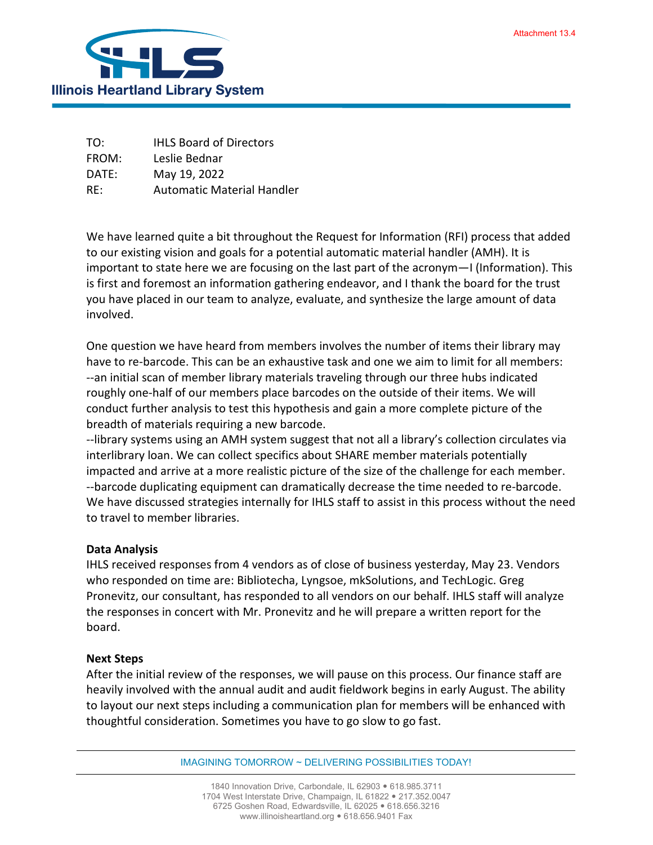

TO: IHLS Board of Directors FROM: Leslie Bednar DATE: May 19, 2022 RE: Automatic Material Handler

We have learned quite a bit throughout the Request for Information (RFI) process that added to our existing vision and goals for a potential automatic material handler (AMH). It is important to state here we are focusing on the last part of the acronym—I (Information). This is first and foremost an information gathering endeavor, and I thank the board for the trust you have placed in our team to analyze, evaluate, and synthesize the large amount of data involved.

One question we have heard from members involves the number of items their library may have to re-barcode. This can be an exhaustive task and one we aim to limit for all members: --an initial scan of member library materials traveling through our three hubs indicated roughly one-half of our members place barcodes on the outside of their items. We will conduct further analysis to test this hypothesis and gain a more complete picture of the breadth of materials requiring a new barcode.

--library systems using an AMH system suggest that not all a library's collection circulates via interlibrary loan. We can collect specifics about SHARE member materials potentially impacted and arrive at a more realistic picture of the size of the challenge for each member. --barcode duplicating equipment can dramatically decrease the time needed to re-barcode. We have discussed strategies internally for IHLS staff to assist in this process without the need to travel to member libraries.

## **Data Analysis**

IHLS received responses from 4 vendors as of close of business yesterday, May 23. Vendors who responded on time are: Bibliotecha, Lyngsoe, mkSolutions, and TechLogic. Greg Pronevitz, our consultant, has responded to all vendors on our behalf. IHLS staff will analyze the responses in concert with Mr. Pronevitz and he will prepare a written report for the board.

## **Next Steps**

After the initial review of the responses, we will pause on this process. Our finance staff are heavily involved with the annual audit and audit fieldwork begins in early August. The ability to layout our next steps including a communication plan for members will be enhanced with thoughtful consideration. Sometimes you have to go slow to go fast.